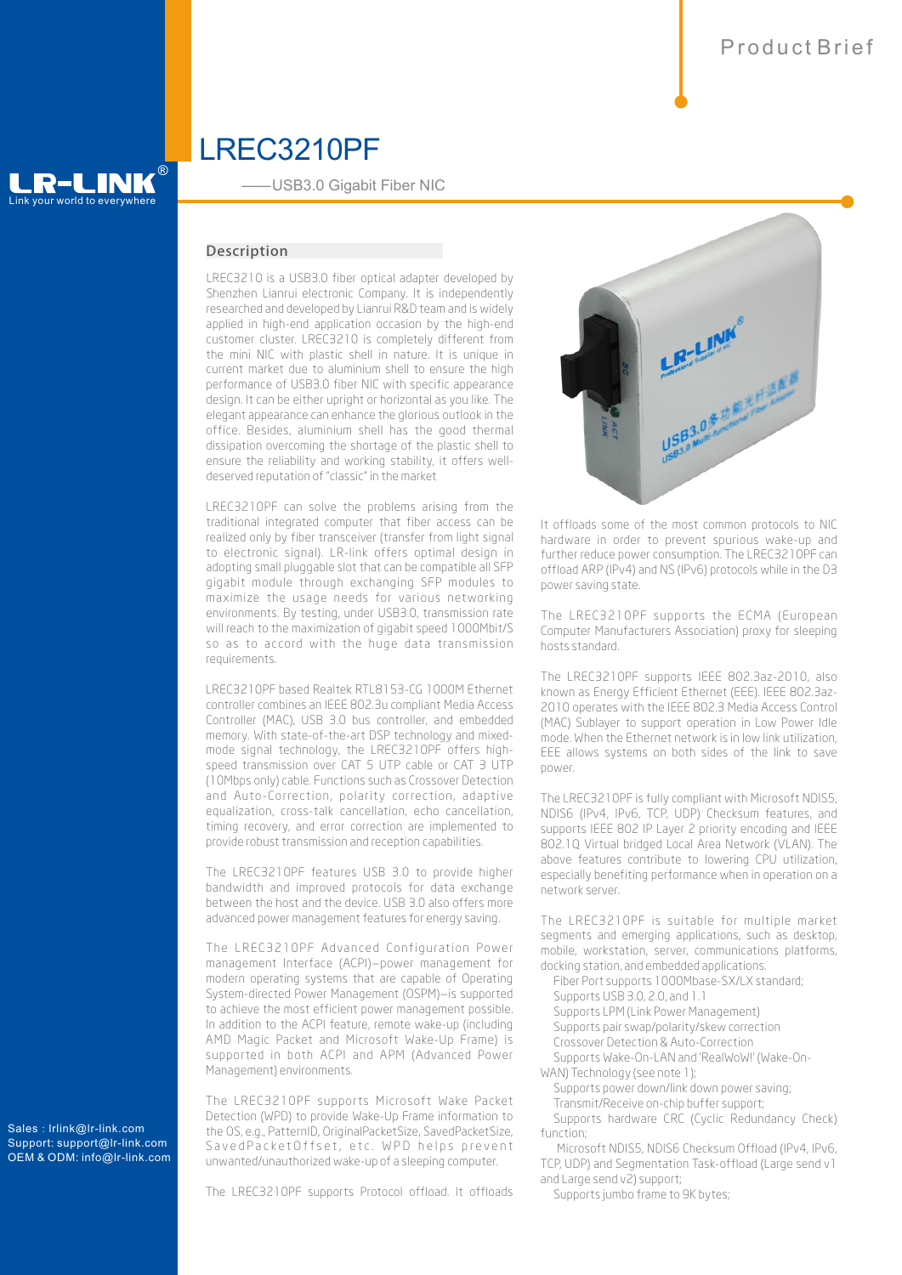# Link your world to everywhere

®

——USB3.0 Gigabit Fiber NIC

LREC3210PF

## **Description**

LREC3210 is a USB3.0 fiber optical adapter developed by Shenzhen Lianrui electronic Company. It is independently researched and developed by Lianrui R&D team and is widely applied in high-end application occasion by the high-end customer cluster. LREC3210 is completely different from the mini NIC with plastic shell in nature. It is unique in current market due to aluminium shell to ensure the high performance of USB3.0 fiber NIC with specific appearance design. It can be either upright or horizontal as you like. The elegant appearance can enhance the glorious outlook in the office. Besides, aluminium shell has the good thermal dissipation overcoming the shortage of the plastic shell to ensure the reliability and working stability, it offers welldeserved reputation of "classic" in the market

LREC3210PF can solve the problems arising from the traditional integrated computer that fiber access can be realized only by fiber transceiver (transfer from light signal to electronic signal). LR-link offers optimal design in adopting small pluggable slot that can be compatible all SFP gigabit module through exchanging SFP modules to maximize the usage needs for various networking environments. By testing, under USB3.0, transmission rate will reach to the maximization of gigabit speed 1000Mbit/S so as to accord with the huge data transmission requirements.

LREC3210PF based Realtek RTL8153-CG 1000M Ethernet controller combines an IEEE 802.3u compliant Media Access Controller (MAC), USB 3.0 bus controller, and embedded memory. With state-of-the-art DSP technology and mixedmode signal technology, the LREC3210PF offers highspeed transmission over CAT 5 UTP cable or CAT 3 UTP (10Mbps only) cable. Functions such as Crossover Detection and Auto-Correction, polarity correction, adaptive equalization, cross-talk cancellation, echo cancellation, timing recovery, and error correction are implemented to provide robust transmission and reception capabilities.

The LREC3210PF features USB 3.0 to provide higher bandwidth and improved protocols for data exchange between the host and the device. USB 3.0 also offers more advanced power management features for energy saving.

The LREC3210PF Advanced Configuration Power management Interface (ACPI)—power management for modern operating systems that are capable of Operating System-directed Power Management (OSPM)—is supported to achieve the most efficient power management possible. In addition to the ACPI feature, remote wake-up (including AMD Magic Packet and Microsoft Wake-Up Frame) is supported in both ACPI and APM (Advanced Power Management) environments.

The LREC3210PF supports Microsoft Wake Packet Detection (WPD) to provide Wake-Up Frame information to the OS, e.g., PatternID, OriginalPacketSize, SavedPacketSize, SavedPacketOffset, etc. WPD helps prevent unwanted/unauthorized wake-up of a sleeping computer.

The LREC3210PF supports Protocol offload. It offloads



It offloads some of the most common protocols to NIC hardware in order to prevent spurious wake-up and further reduce power consumption. The LREC3210PF can offload ARP (IPv4) and NS (IPv6) protocols while in the D3 power saving state.

The LREC3210PF supports the ECMA (European Computer Manufacturers Association) proxy for sleeping hosts standard.

The LREC3210PF supports IEEE 802.3az-2010, also known as Energy Efficient Ethernet (EEE). IEEE 802.3az-2010 operates with the IEEE 802.3 Media Access Control (MAC) Sublayer to support operation in Low Power Idle mode. When the Ethernet network is in low link utilization, EEE allows systems on both sides of the link to save power.

The LREC3210PF is fully compliant with Microsoft NDIS5, NDIS6 (IPv4, IPv6, TCP, UDP) Checksum features, and supports IEEE 802 IP Layer 2 priority encoding and IEEE 802.1Q Virtual bridged Local Area Network (VLAN). The above features contribute to lowering CPU utilization, especially benefiting performance when in operation on a network server.

The LREC3210PF is suitable for multiple market segments and emerging applications, such as desktop, mobile, workstation, server, communications platforms, docking station, and embedded applications.

Fiber Port supports 1000Mbase-SX/LX standard;

- Supports USB 3.0, 2.0, and 1.1
- Supports LPM (Link Power Management) Supports pair swap/polarity/skew correction
- Crossover Detection & Auto-Correction
- Supports Wake-On-LAN and 'RealWoW!' (Wake-On-

WAN) Technology (see note 1);

Supports power down/link down power saving;

Transmit/Receive on-chip buffer support;

Supports hardware CRC (Cyclic Redundancy Check) function;

Microsoft NDIS5, NDIS6 Checksum Offload (IPv4, IPv6, TCP, UDP) and Segmentation Task-offload (Large send v1 and Large send v2) support;

Supports jumbo frame to 9K bytes;

Sales: lrlink@lr-link.com Support: support@lr-link.com OEM & ODM: info@lr-link.com